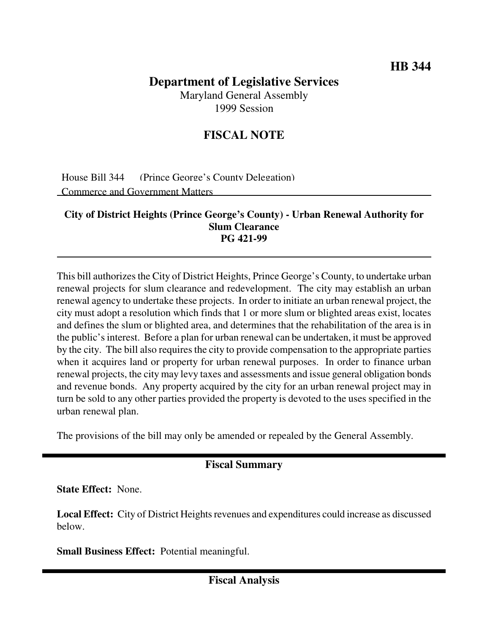## **Department of Legislative Services**

Maryland General Assembly 1999 Session

## **FISCAL NOTE**

House Bill 344 (Prince George's County Delegation) Commerce and Government Matters

## **City of District Heights (Prince George's County) - Urban Renewal Authority for Slum Clearance PG 421-99**

This bill authorizes the City of District Heights, Prince George's County, to undertake urban renewal projects for slum clearance and redevelopment. The city may establish an urban renewal agency to undertake these projects. In order to initiate an urban renewal project, the city must adopt a resolution which finds that 1 or more slum or blighted areas exist, locates and defines the slum or blighted area, and determines that the rehabilitation of the area is in the public's interest. Before a plan for urban renewal can be undertaken, it must be approved by the city. The bill also requires the city to provide compensation to the appropriate parties when it acquires land or property for urban renewal purposes. In order to finance urban renewal projects, the city may levy taxes and assessments and issue general obligation bonds and revenue bonds. Any property acquired by the city for an urban renewal project may in turn be sold to any other parties provided the property is devoted to the uses specified in the urban renewal plan.

The provisions of the bill may only be amended or repealed by the General Assembly.

## **Fiscal Summary**

**State Effect:** None.

**Local Effect:** City of District Heights revenues and expenditures could increase as discussed below.

**Small Business Effect:** Potential meaningful.